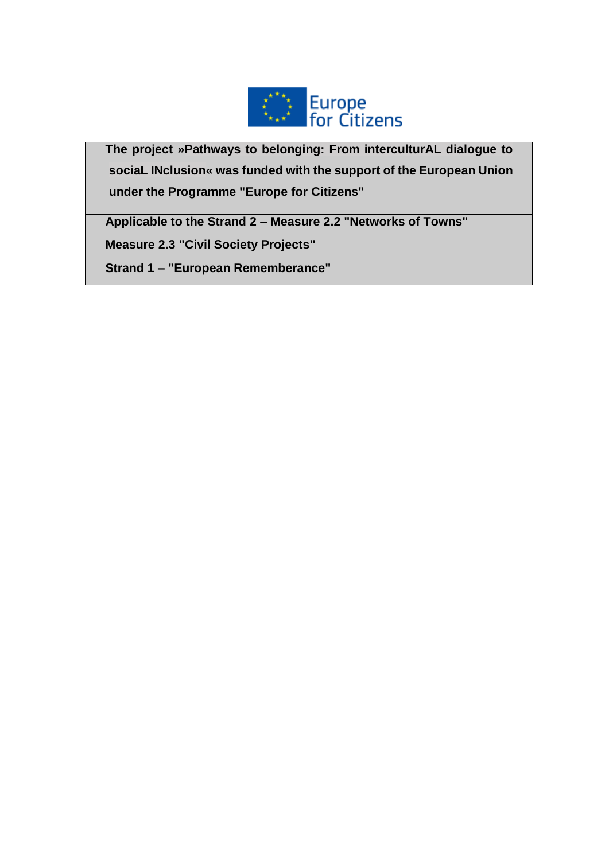

**The project »Pathways to belonging: From interculturAL dialogue to sociaL INclusion« was funded with the support of the European Union under the Programme "Europe for Citizens"**

**Applicable to the Strand 2 – Measure 2.2 "Networks of Towns"**

**Measure 2.3 "Civil Society Projects"**

**Strand 1 – "European Rememberance"**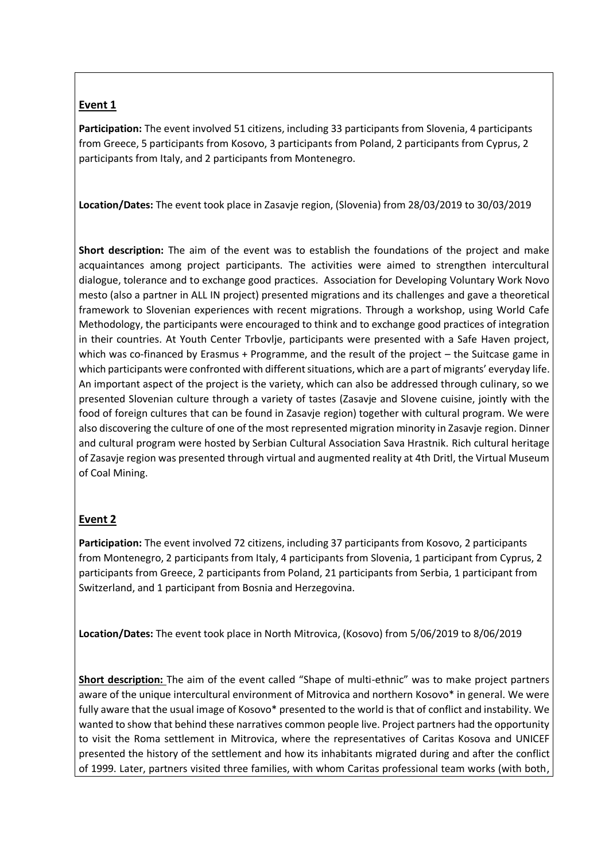# **Event 1**

**Participation:** The event involved 51 citizens, including 33 participants from Slovenia, 4 participants from Greece, 5 participants from Kosovo, 3 participants from Poland, 2 participants from Cyprus, 2 participants from Italy, and 2 participants from Montenegro.

**Location/Dates:** The event took place in Zasavje region, (Slovenia) from 28/03/2019 to 30/03/2019

**Short description:** The aim of the event was to establish the foundations of the project and make acquaintances among project participants. The activities were aimed to strengthen intercultural dialogue, tolerance and to exchange good practices. Association for Developing Voluntary Work Novo mesto (also a partner in ALL IN project) presented migrations and its challenges and gave a theoretical framework to Slovenian experiences with recent migrations. Through a workshop, using World Cafe Methodology, the participants were encouraged to think and to exchange good practices of integration in their countries. At Youth Center Trbovlje, participants were presented with a Safe Haven project, which was co-financed by Erasmus + Programme, and the result of the project – the Suitcase game in which participants were confronted with different situations, which are a part of migrants' everyday life. An important aspect of the project is the variety, which can also be addressed through culinary, so we presented Slovenian culture through a variety of tastes (Zasavje and Slovene cuisine, jointly with the food of foreign cultures that can be found in Zasavje region) together with cultural program. We were also discovering the culture of one of the most represented migration minority in Zasavje region. Dinner and cultural program were hosted by Serbian Cultural Association Sava Hrastnik. Rich cultural heritage of Zasavje region was presented through virtual and augmented reality at 4th Dritl, the Virtual Museum of Coal Mining.

## **Event 2**

**Participation:** The event involved 72 citizens, including 37 participants from Kosovo, 2 participants from Montenegro, 2 participants from Italy, 4 participants from Slovenia, 1 participant from Cyprus, 2 participants from Greece, 2 participants from Poland, 21 participants from Serbia, 1 participant from Switzerland, and 1 participant from Bosnia and Herzegovina.

**Location/Dates:** The event took place in North Mitrovica, (Kosovo) from 5/06/2019 to 8/06/2019

**Short description:** The aim of the event called "Shape of multi-ethnic" was to make project partners aware of the unique intercultural environment of Mitrovica and northern Kosovo\* in general. We were fully aware that the usual image of Kosovo\* presented to the world is that of conflict and instability. We wanted to show that behind these narratives common people live. Project partners had the opportunity to visit the Roma settlement in Mitrovica, where the representatives of Caritas Kosova and UNICEF presented the history of the settlement and how its inhabitants migrated during and after the conflict of 1999. Later, partners visited three families, with whom Caritas professional team works (with both,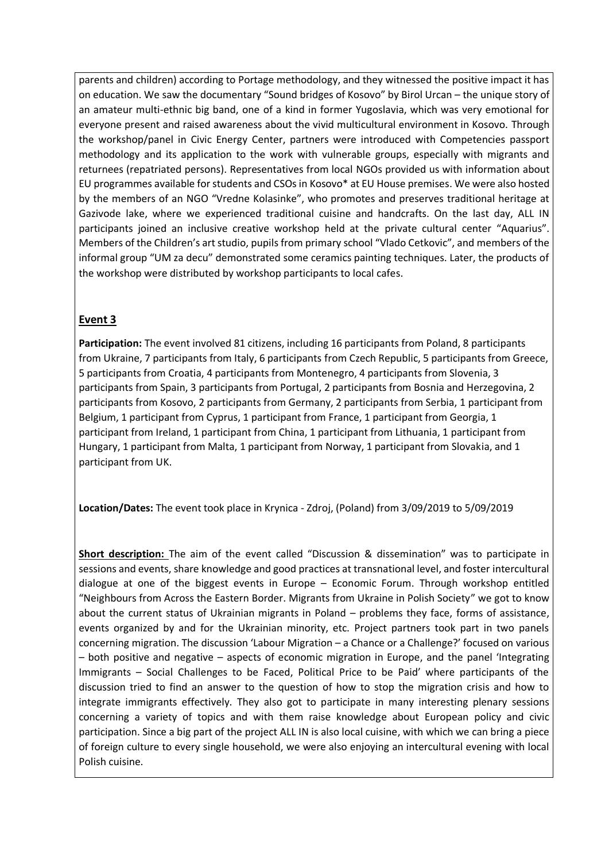parents and children) according to Portage methodology, and they witnessed the positive impact it has on education. We saw the documentary "Sound bridges of Kosovo" by Birol Urcan – the unique story of an amateur multi-ethnic big band, one of a kind in former Yugoslavia, which was very emotional for everyone present and raised awareness about the vivid multicultural environment in Kosovo. Through the workshop/panel in Civic Energy Center, partners were introduced with Competencies passport methodology and its application to the work with vulnerable groups, especially with migrants and returnees (repatriated persons). Representatives from local NGOs provided us with information about EU programmes available for students and CSOs in Kosovo\* at EU House premises. We were also hosted by the members of an NGO "Vredne Kolasinke", who promotes and preserves traditional heritage at Gazivode lake, where we experienced traditional cuisine and handcrafts. On the last day, ALL IN participants joined an inclusive creative workshop held at the private cultural center "Aquarius". Members of the Children's art studio, pupils from primary school "Vlado Cetkovic", and members of the informal group "UM za decu" demonstrated some ceramics painting techniques. Later, the products of the workshop were distributed by workshop participants to local cafes.

# **Event 3**

**Participation:** The event involved 81 citizens, including 16 participants from Poland, 8 participants from Ukraine, 7 participants from Italy, 6 participants from Czech Republic, 5 participants from Greece, 5 participants from Croatia, 4 participants from Montenegro, 4 participants from Slovenia, 3 participants from Spain, 3 participants from Portugal, 2 participants from Bosnia and Herzegovina, 2 participants from Kosovo, 2 participants from Germany, 2 participants from Serbia, 1 participant from Belgium, 1 participant from Cyprus, 1 participant from France, 1 participant from Georgia, 1 participant from Ireland, 1 participant from China, 1 participant from Lithuania, 1 participant from Hungary, 1 participant from Malta, 1 participant from Norway, 1 participant from Slovakia, and 1 participant from UK.

**Location/Dates:** The event took place in Krynica - Zdroj, (Poland) from 3/09/2019 to 5/09/2019

**Short description:** The aim of the event called "Discussion & dissemination" was to participate in sessions and events, share knowledge and good practices at transnational level, and foster intercultural dialogue at one of the biggest events in Europe – Economic Forum. Through workshop entitled "Neighbours from Across the Eastern Border. Migrants from Ukraine in Polish Society" we got to know about the current status of Ukrainian migrants in Poland – problems they face, forms of assistance, events organized by and for the Ukrainian minority, etc. Project partners took part in two panels concerning migration. The discussion 'Labour Migration – a Chance or a Challenge?' focused on various – both positive and negative – aspects of economic migration in Europe, and the panel 'Integrating Immigrants – Social Challenges to be Faced, Political Price to be Paid' where participants of the discussion tried to find an answer to the question of how to stop the migration crisis and how to integrate immigrants effectively. They also got to participate in many interesting plenary sessions concerning a variety of topics and with them raise knowledge about European policy and civic participation. Since a big part of the project ALL IN is also local cuisine, with which we can bring a piece of foreign culture to every single household, we were also enjoying an intercultural evening with local Polish cuisine.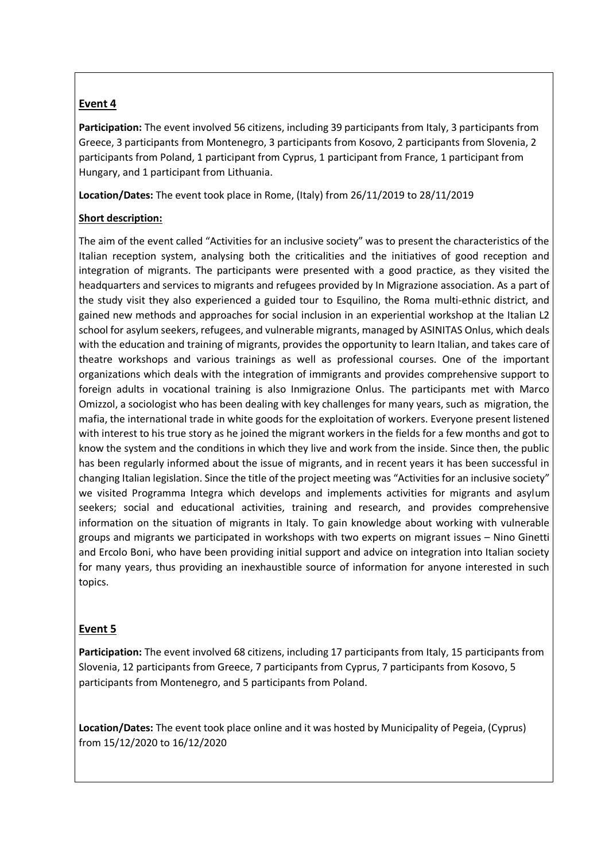## **Event 4**

**Participation:** The event involved 56 citizens, including 39 participants from Italy, 3 participants from Greece, 3 participants from Montenegro, 3 participants from Kosovo, 2 participants from Slovenia, 2 participants from Poland, 1 participant from Cyprus, 1 participant from France, 1 participant from Hungary, and 1 participant from Lithuania.

**Location/Dates:** The event took place in Rome, (Italy) from 26/11/2019 to 28/11/2019

### **Short description:**

The aim of the event called "Activities for an inclusive society" was to present the characteristics of the Italian reception system, analysing both the criticalities and the initiatives of good reception and integration of migrants. The participants were presented with a good practice, as they visited the headquarters and services to migrants and refugees provided by In Migrazione association. As a part of the study visit they also experienced a guided tour to Esquilino, the Roma multi-ethnic district, and gained new methods and approaches for social inclusion in an experiential workshop at the Italian L2 school for asylum seekers, refugees, and vulnerable migrants, managed by ASINITAS Onlus, which deals with the education and training of migrants, provides the opportunity to learn Italian, and takes care of theatre workshops and various trainings as well as professional courses. One of the important organizations which deals with the integration of immigrants and provides comprehensive support to foreign adults in vocational training is also Inmigrazione Onlus. The participants met with Marco Omizzol, a sociologist who has been dealing with key challenges for many years, such as migration, the mafia, the international trade in white goods for the exploitation of workers. Everyone present listened with interest to his true story as he joined the migrant workers in the fields for a few months and got to know the system and the conditions in which they live and work from the inside. Since then, the public has been regularly informed about the issue of migrants, and in recent years it has been successful in changing Italian legislation. Since the title of the project meeting was "Activities for an inclusive society" we visited Programma Integra which develops and implements activities for migrants and asylum seekers; social and educational activities, training and research, and provides comprehensive information on the situation of migrants in Italy. To gain knowledge about working with vulnerable groups and migrants we participated in workshops with two experts on migrant issues – Nino Ginetti and Ercolo Boni, who have been providing initial support and advice on integration into Italian society for many years, thus providing an inexhaustible source of information for anyone interested in such topics.

#### **Event 5**

**Participation:** The event involved 68 citizens, including 17 participants from Italy, 15 participants from Slovenia, 12 participants from Greece, 7 participants from Cyprus, 7 participants from Kosovo, 5 participants from Montenegro, and 5 participants from Poland.

**Location/Dates:** The event took place online and it was hosted by Municipality of Pegeia, (Cyprus) from 15/12/2020 to 16/12/2020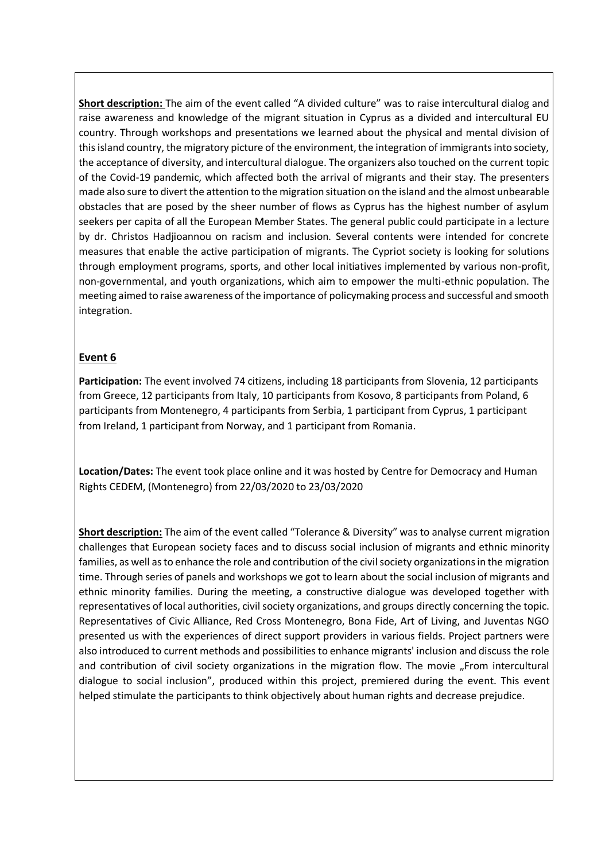**Short description:** The aim of the event called "A divided culture" was to raise intercultural dialog and raise awareness and knowledge of the migrant situation in Cyprus as a divided and intercultural EU country. Through workshops and presentations we learned about the physical and mental division of thisisland country, the migratory picture of the environment, the integration of immigrants into society, the acceptance of diversity, and intercultural dialogue. The organizers also touched on the current topic of the Covid-19 pandemic, which affected both the arrival of migrants and their stay. The presenters made also sure to divert the attention to the migration situation on the island and the almost unbearable obstacles that are posed by the sheer number of flows as Cyprus has the highest number of asylum seekers per capita of all the European Member States. The general public could participate in a lecture by dr. Christos Hadjioannou on racism and inclusion. Several contents were intended for concrete measures that enable the active participation of migrants. The Cypriot society is looking for solutions through employment programs, sports, and other local initiatives implemented by various non-profit, non-governmental, and youth organizations, which aim to empower the multi-ethnic population. The meeting aimed to raise awareness of the importance of policymaking process and successful and smooth integration.

### **Event 6**

**Participation:** The event involved 74 citizens, including 18 participants from Slovenia, 12 participants from Greece, 12 participants from Italy, 10 participants from Kosovo, 8 participants from Poland, 6 participants from Montenegro, 4 participants from Serbia, 1 participant from Cyprus, 1 participant from Ireland, 1 participant from Norway, and 1 participant from Romania.

**Location/Dates:** The event took place online and it was hosted by Centre for Democracy and Human Rights CEDEM, (Montenegro) from 22/03/2020 to 23/03/2020

**Short description:** The aim of the event called "Tolerance & Diversity" was to analyse current migration challenges that European society faces and to discuss social inclusion of migrants and ethnic minority families, as well as to enhance the role and contribution of the civil society organizations in the migration time. Through series of panels and workshops we got to learn about the social inclusion of migrants and ethnic minority families. During the meeting, a constructive dialogue was developed together with representatives of local authorities, civil society organizations, and groups directly concerning the topic. Representatives of Civic Alliance, Red Cross Montenegro, Bona Fide, Art of Living, and Juventas NGO presented us with the experiences of direct support providers in various fields. Project partners were also introduced to current methods and possibilities to enhance migrants' inclusion and discuss the role and contribution of civil society organizations in the migration flow. The movie "From intercultural dialogue to social inclusion", produced within this project, premiered during the event. This event helped stimulate the participants to think objectively about human rights and decrease prejudice.